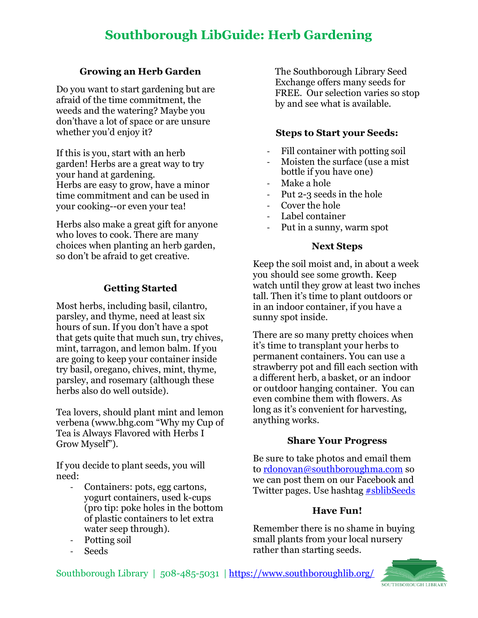# **Southborough LibGuide: Herb Gardening**

## **Growing an Herb Garden**

Do you want to start gardening but are afraid of the time commitment, the weeds and the watering? Maybe you don'thave a lot of space or are unsure whether you'd enjoy it?

If this is you, start with an herb garden! Herbs are a great way to try your hand at gardening. Herbs are easy to grow, have a minor time commitment and can be used in your cooking--or even your tea!

Herbs also make a great gift for anyone who loves to cook. There are many choices when planting an herb garden, so don't be afraid to get creative.

# **Getting Started**

Most herbs, including basil, cilantro, parsley, and thyme, need at least six hours of sun. If you don't have a spot that gets quite that much sun, try chives, mint, tarragon, and lemon balm. If you are going to keep your container inside try basil, oregano, chives, mint, thyme, parsley, and rosemary (although these herbs also do well outside).

Tea lovers, should plant mint and lemon verbena [\(www.bhg.com](http://www.bhg.com/) "Why my Cup of Tea is Always Flavored with Herbs I Grow Myself").

If you decide to plant seeds, you will need:

- Containers: pots, egg cartons, yogurt containers, used k-cups (pro tip: poke holes in the bottom of plastic containers to let extra water seep through).
- Potting soil
- Seeds

The Southborough Library Seed Exchange offers many seeds for FREE. Our selection varies so stop by and see what is available.

## **Steps to Start your Seeds:**

- Fill container with potting soil
- Moisten the surface (use a mist bottle if you have one)
- Make a hole
- Put 2-3 seeds in the hole
- Cover the hole
- Label container
- Put in a sunny, warm spot

#### **Next Steps**

Keep the soil moist and, in about a week you should see some growth. Keep watch until they grow at least two inches tall. Then it's time to plant outdoors or in an indoor container, if you have a sunny spot inside.

There are so many pretty choices when it's time to transplant your herbs to permanent containers. You can use a strawberry pot and fill each section with a different herb, a basket, or an indoor or outdoor hanging container. You can even combine them with flowers. As long as it's convenient for harvesting, anything works.

## **Share Your Progress**

Be sure to take photos and email them to [rdonovan@southboroughma.com](mailto:rdonovan@southboroughma.com) so we can post them on our Facebook and Twitter pages. Use hashtag [#sblibSeeds](https://twitter.com/search?q=%23sblibSeeds&src=typed_query)

## **Have Fun!**

Remember there is no shame in buying small plants from your local nursery rather than starting seeds.

Southborough Library | 508-485-5031 | <https://www.southboroughlib.org/>